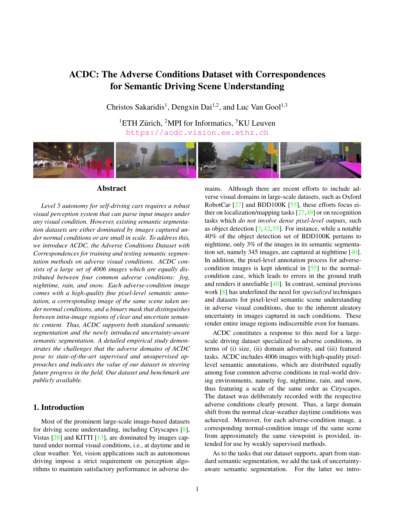# ACDC: The Adverse Conditions Dataset with Correspondences for Semantic Driving Scene Understanding

Christos Sakaridis<sup>1</sup>, Dengxin Dai<sup>1,2</sup>, and Luc Van Gool<sup>1,3</sup>

<sup>1</sup>ETH Zürich, <sup>2</sup>MPI for Informatics, <sup>3</sup>KU Leuven https://acdc.vision.ee.ethz.ch



# Abstract

*Level 5 autonomy for self-driving cars requires a robust visual perception system that can parse input images under any visual condition. However, existing semantic segmentation datasets are either dominated by images captured under normal conditions or are small in scale. To address this, we introduce ACDC, the Adverse Conditions Dataset with Correspondences for training and testing semantic segmentation methods on adverse visual conditions. ACDC consists of a large set of 4006 images which are equally distributed between four common adverse conditions: fog, nighttime, rain, and snow. Each adverse-condition image comes with a high-quality fine pixel-level semantic annotation, a corresponding image of the same scene taken under normal conditions, and a binary mask that distinguishes between intra-image regions of clear and uncertain semantic content. Thus, ACDC supports both standard semantic segmentation and the newly introduced uncertainty-aware semantic segmentation. A detailed empirical study demonstrates the challenges that the adverse domains of ACDC pose to state-of-the-art supervised and unsupervised approaches and indicates the value of our dataset in steering future progress in the field. Our dataset and benchmark are publicly available.*

# 1. Introduction

Most of the prominent large-scale image-based datasets for driving scene understanding, including Cityscapes [8], Vistas  $[28]$  and KITTI  $[13]$ , are dominated by images captured under normal visual conditions, i.e., at daytime and in clear weather. Yet, vision applications such as autonomous driving impose a strict requirement on perception algorithms to maintain satisfactory performance in adverse domains. Although there are recent efforts to include adverse visual domains in large-scale datasets, such as Oxford RobotCar [27] and BDD100K [55], these efforts focus either on localization/mapping tasks [27,49] or on recognition tasks which *do not involve dense pixel-level outputs*, such as object detection  $[3, 42, 55]$ . For instance, while a notable 40% of the object detection set of BDD100K pertains to nighttime, only 3% of the images in its semantic segmentation set, namely 345 images, are captured at nighttime [40]. In addition, the pixel-level annotation process for adversecondition images is kept identical in [55] to the normalcondition case, which leads to errors in the ground truth and renders it unreliable [40]. In contrast, seminal previous work [8] has underlined the need for *specialized* techniques and datasets for pixel-level semantic scene understanding in adverse visual conditions, due to the inherent aleatory uncertainty in images captured in such conditions. These render entire image regions indiscernible even for humans.

ACDC constitutes a response to this need for a largescale driving dataset specialized to adverse conditions, in terms of (i) size, (ii) domain adversity, and (iii) featured tasks. ACDC includes 4006 images with high-quality pixellevel semantic annotations, which are distributed equally among four common adverse conditions in real-world driving environments, namely fog, nighttime, rain, and snow, thus featuring a scale of the same order as Cityscapes. The dataset was deliberately recorded with the respective adverse conditions clearly present. Thus, a large domain shift from the normal clear-weather daytime conditions was achieved. Moreover, for each adverse-condition image, a corresponding normal-condition image of the same scene from approximately the same viewpoint is provided, intended for use by weakly supervised methods.

As to the tasks that our dataset supports, apart from standard semantic segmentation, we add the task of uncertaintyaware semantic segmentation. For the latter we intro-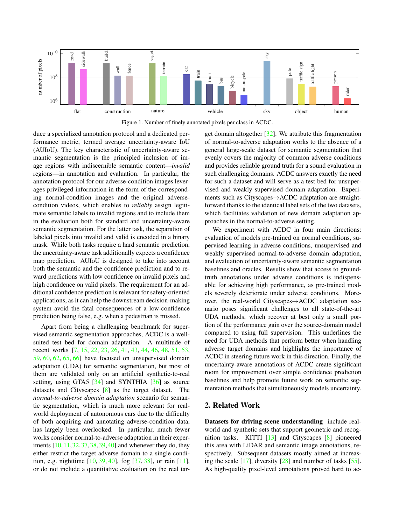



duce a specialized annotation protocol and a dedicated performance metric, termed average uncertainty-aware IoU (AUIoU). The key characteristic of uncertainty-aware semantic segmentation is the principled inclusion of image regions with indiscernible semantic content—*invalid* regions—in annotation and evaluation. In particular, the annotation protocol for our adverse-condition images leverages privileged information in the form of the corresponding normal-condition images and the original adversecondition videos, which enables to *reliably* assign legitimate semantic labels to invalid regions and to include them in the evaluation both for standard and uncertainty-aware semantic segmentation. For the latter task, the separation of labeled pixels into invalid and valid is encoded in a binary mask. While both tasks require a hard semantic prediction, the uncertainty-aware task additionally expects a confidence map prediction. AUIoU is designed to take into account both the semantic and the confidence prediction and to reward predictions with low confidence on invalid pixels and high confidence on valid pixels. The requirement for an additional confidence prediction is relevant for safety-oriented applications, as it can help the downstream decision-making system avoid the fatal consequences of a low-confidence prediction being false, e.g. when a pedestrian is missed.

Apart from being a challenging benchmark for supervised semantic segmentation approaches, ACDC is a wellsuited test bed for domain adaptation. A multitude of recent works [7, 15, 22, 23, 26, 41, 43, 44, 46, 48, 51, 53, 59, 60, 62, 65, 66] have focused on unsupervised domain adaptation (UDA) for semantic segmentation, but most of them are validated only on an artificial synthetic-to-real setting, using GTA5 [34] and SYNTHIA [36] as source datasets and Cityscapes [8] as the target dataset. The *normal-to-adverse domain adaptation* scenario for semantic segmentation, which is much more relevant for realworld deployment of autonomous cars due to the difficulty of both acquiring and annotating adverse-condition data, has largely been overlooked. In particular, much fewer works consider normal-to-adverse adaptation in their experiments [10,11,32,37,38,39,40] and whenever they do, they either restrict the target adverse domain to a single condition, e.g. nighttime [10, 39, 40], fog [37, 38], or rain [11], or do not include a quantitative evaluation on the real target domain altogether [32]. We attribute this fragmentation of normal-to-adverse adaptation works to the absence of a general large-scale dataset for semantic segmentation that evenly covers the majority of common adverse conditions and provides reliable ground truth for a sound evaluation in such challenging domains. ACDC answers exactly the need for such a dataset and will serve as a test bed for unsupervised and weakly supervised domain adaptation. Experiments such as Cityscapes→ACDC adaptation are straightforward thanks to the identical label sets of the two datasets, which facilitates validation of new domain adaptation approaches in the normal-to-adverse setting.

We experiment with ACDC in four main directions: evaluation of models pre-trained on normal conditions, supervised learning in adverse conditions, unsupervised and weakly supervised normal-to-adverse domain adaptation, and evaluation of uncertainty-aware semantic segmentation baselines and oracles. Results show that access to groundtruth annotations under adverse conditions is indispensable for achieving high performance, as pre-trained models severely deteriorate under adverse conditions. Moreover, the real-world Cityscapes→ACDC adaptation scenario poses significant challenges to all state-of-the-art UDA methods, which recover at best only a small portion of the performance gain over the source-domain model compared to using full supervision. This underlines the need for UDA methods that perform better when handling adverse target domains and highlights the importance of ACDC in steering future work in this direction. Finally, the uncertainty-aware annotations of ACDC create significant room for improvement over simple confidence prediction baselines and help promote future work on semantic segmentation methods that simultaneously models uncertainty.

# 2. Related Work

Datasets for driving scene understanding include realworld and synthetic sets that support geometric and recognition tasks. KITTI [13] and Cityscapes [8] pioneered this area with LiDAR and semantic image annotations, respectively. Subsequent datasets mostly aimed at increasing the scale  $[17]$ , diversity  $[28]$  and number of tasks  $[55]$ . As high-quality pixel-level annotations proved hard to ac-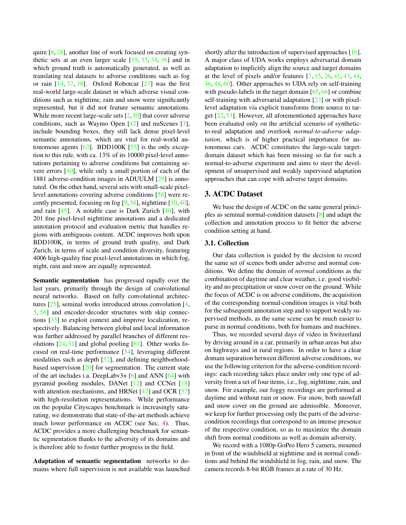quire [8, 28], another line of work focused on creating synthetic sets at an even larger scale [19, 33, 34, 36] and in which ground truth is automatically generated, as well as translating real datasets to adverse conditions such as fog or rain  $[14, 37, 38]$ . Oxford Robotcar  $[27]$  was the first real-world large-scale dataset in which adverse visual conditions such as nighttime, rain and snow were significantly represented, but it did not feature semantic annotations. While more recent large-scale sets [2,30] that cover adverse conditions, such as Waymo Open [42] and nuScenes [3], include bounding boxes, they still lack dense pixel-level semantic annotations, which are vital for real-world autonomous agents  $[63]$ . BDD100K  $[55]$  is the only exception to this rule, with ca. 13% of its 10000 pixel-level annotations pertaining to adverse conditions but containing severe errors [40], while only a small portion of each of the 1881 adverse-condition images in ADUULM [29] is annotated. On the other hand, several sets with small-scale pixellevel annotations covering adverse conditions [58] were recently presented, focusing on fog [9,38], nighttime [10,40], and rain  $[45]$ . A notable case is Dark Zurich  $[40]$ , with 201 fine pixel-level nighttime annotations and a dedicated annotation protocol and evaluation metric that handles regions with ambiguous content. ACDC improves both upon BDD100K, in terms of ground truth quality, and Dark Zurich, in terms of scale and condition diversity, featuring 4006 high-quality fine pixel-level annotations in which fog, night, rain and snow are equally represented.

Semantic segmentation has progressed rapidly over the last years, primarily through the design of convolutional neural networks. Based on fully convolutional architectures [25], seminal works introduced atrous convolution [4, 5, 56] and encoder-decoder structures with skip connections [35] to exploit context and improve localization, respectively. Balancing between global and local information was further addressed by parallel branches of different resolutions  $[24, 31]$  and global pooling  $[61]$ . Other works focused on real-time performance [54], leveraging different modalities such as depth [52], and defining neighborhoodbased supervision [20] for segmentation. The current state of the art includes i.a. DeepLabv3+ [6] and ANN [64] with pyramid pooling modules, DANet [12] and CCNet [18] with attention mechanisms, and HRNet  $[47]$  and OCR  $[57]$ with high-resolution representations. While performance on the popular Cityscapes benchmark is increasingly saturating, we demonstrate that state-of-the-art methods achieve much lower performance on ACDC (see Sec. 4). Thus, ACDC provides a more challenging benchmark for semantic segmentation thanks to the adversity of its domains and is therefore able to foster further progress in the field.

Adaptation of semantic segmentation networks to domains where full supervision is not available was launched shortly after the introduction of supervised approaches [16]. A major class of UDA works employs adversarial domain adaptation to implicitly align the source and target domains at the level of pixels and/or features [7, 15, 26, 41, 43, 44, 46, 48, 60]. Other approaches to UDA rely on self-training with pseudo-labels in the target domain  $[65, 66]$  or combine self-training with adversarial adaptation [23] or with pixellevel adaptation via explicit transforms from source to target [22, 53]. However, all aforementioned approaches have been evaluated only on the artificial scenario of syntheticto-real adaptation and overlook *normal-to-adverse adaptation*, which is of higher practical importance for autonomous cars. ACDC constitutes the large-scale targetdomain dataset which has been missing so far for such a normal-to-adverse experiment and aims to steer the development of unsupervised and weakly supervised adaptation approaches that can cope with adverse target domains.

#### 3. ACDC Dataset

We base the design of ACDC on the same general principles as seminal normal-condition datasets [8] and adapt the collection and annotation process to fit better the adverse condition setting at hand.

# 3.1. Collection

Our data collection is guided by the decision to record the same set of scenes both under adverse and normal conditions. We define the domain of *normal* conditions as the combination of daytime and clear weather, i.e. good visibility and no precipitation or snow cover on the ground. While the focus of ACDC is on adverse conditions, the acquisition of the corresponding normal-condition images is vital both for the subsequent annotation step and to support weakly supervised methods, as the same scene can be much easier to parse in normal conditions, both for humans and machines.

Thus, we recorded several days of video in Switzerland by driving around in a car, primarily in urban areas but also on highways and in rural regions. In order to have a clear domain separation between different adverse conditions, we use the following criterion for the adverse-condition recordings: each recording takes place under only one type of adversity from a set of four items, i.e., fog, nighttime, rain, and snow. For example, our foggy recordings are performed at daytime and without rain or snow. For snow, both snowfall and snow cover on the ground are admissible. Moreover, we keep for further processing only the parts of the adversecondition recordings that correspond to an intense presence of the respective condition, so as to maximize the domain shift from normal conditions as well as domain adversity.

We record with a 1080p GoPro Hero 5 camera, mounted in front of the windshield at nighttime and in normal conditions and behind the windshield in fog, rain, and snow. The camera records 8-bit RGB frames at a rate of 30 Hz.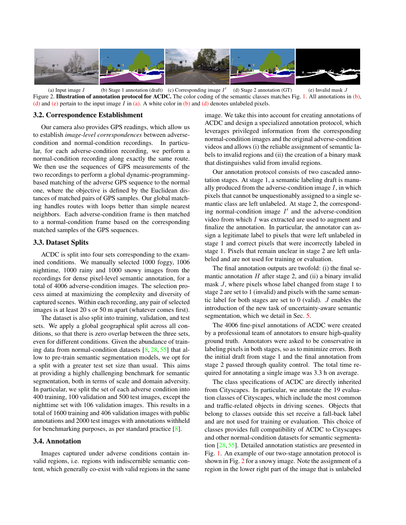

(a) Input image  $I$  (b) Stage 1 annotation (draft) (c) Corresponding image  $I'$  (d) Stage 2 annotation (GT) (e) Invalid mask  $J$ Figure 2. Illustration of annotation protocol for ACDC. The color coding of the semantic classes matches Fig. 1. All annotations in  $(b)$ , (d) and (e) pertain to the input image I in (a). A white color in (b) and (d) denotes unlabeled pixels.

#### 3.2. Correspondence Establishment

Our camera also provides GPS readings, which allow us to establish *image-level correspondences* between adversecondition and normal-condition recordings. In particular, for each adverse-condition recording, we perform a normal-condition recording along exactly the same route. We then use the sequences of GPS measurements of the two recordings to perform a global dynamic-programmingbased matching of the adverse GPS sequence to the normal one, where the objective is defined by the Euclidean distances of matched pairs of GPS samples. Our global matching handles routes with loops better than simple nearest neighbors. Each adverse-condition frame is then matched to a normal-condition frame based on the corresponding matched samples of the GPS sequences.

#### 3.3. Dataset Splits

ACDC is split into four sets corresponding to the examined conditions. We manually selected 1000 foggy, 1006 nighttime, 1000 rainy and 1000 snowy images from the recordings for dense pixel-level semantic annotation, for a total of 4006 adverse-condition images. The selection process aimed at maximizing the complexity and diversity of captured scenes. Within each recording, any pair of selected images is at least 20 s or 50 m apart (whatever comes first).

The dataset is also split into training, validation, and test sets. We apply a global geographical split across all conditions, so that there is zero overlap between the three sets, even for different conditions. Given the abundance of training data from normal-condition datasets  $[8, 28, 55]$  that allow to pre-train semantic segmentation models, we opt for a split with a greater test set size than usual. This aims at providing a highly challenging benchmark for semantic segmentation, both in terms of scale and domain adversity. In particular, we split the set of each adverse condition into 400 training, 100 validation and 500 test images, except the nighttime set with 106 validation images. This results in a total of 1600 training and 406 validation images with public annotations and 2000 test images with annotations withheld for benchmarking purposes, as per standard practice [8].

# 3.4. Annotation

Images captured under adverse conditions contain invalid regions, i.e. regions with indiscernible semantic content, which generally co-exist with valid regions in the same image. We take this into account for creating annotations of ACDC and design a specialized annotation protocol, which leverages privileged information from the corresponding normal-condition images and the original adverse-condition videos and allows (i) the reliable assignment of semantic labels to invalid regions and (ii) the creation of a binary mask that distinguishes valid from invalid regions.

Our annotation protocol consists of two cascaded annotation stages. At stage 1, a semantic labeling draft is manually produced from the adverse-condition image  $I$ , in which pixels that cannot be unquestionably assigned to a single semantic class are left unlabeled. At stage 2, the corresponding normal-condition image  $I'$  and the adverse-condition video from which I was extracted are used to augment and finalize the annotation. In particular, the annotator can assign a legitimate label to pixels that were left unlabeled in stage 1 and correct pixels that were incorrectly labeled in stage 1. Pixels that remain unclear in stage 2 are left unlabeled and are not used for training or evaluation.

The final annotation outputs are twofold: (i) the final semantic annotation  $H$  after stage 2, and (ii) a binary invalid mask J, where pixels whose label changed from stage 1 to stage 2 are set to 1 (invalid) and pixels with the same semantic label for both stages are set to 0 (valid). J enables the introduction of the new task of uncertainty-aware semantic segmentation, which we detail in Sec. 5.

The 4006 fine-pixel annotations of ACDC were created by a professional team of annotators to ensure high-quality ground truth. Annotators were asked to be conservative in labeling pixels in both stages, so as to minimize errors. Both the initial draft from stage 1 and the final annotation from stage 2 passed through quality control. The total time required for annotating a single image was 3.3 h on average.

The class specifications of ACDC are directly inherited from Cityscapes. In particular, we annotate the 19 evaluation classes of Cityscapes, which include the most common and traffic-related objects in driving scenes. Objects that belong to classes outside this set receive a fall-back label and are not used for training or evaluation. This choice of classes provides full compatibility of ACDC to Cityscapes and other normal-condition datasets for semantic segmentation [28, 55]. Detailed annotation statistics are presented in Fig. 1. An example of our two-stage annotation protocol is shown in Fig. 2 for a snowy image. Note the assignment of a region in the lower right part of the image that is unlabeled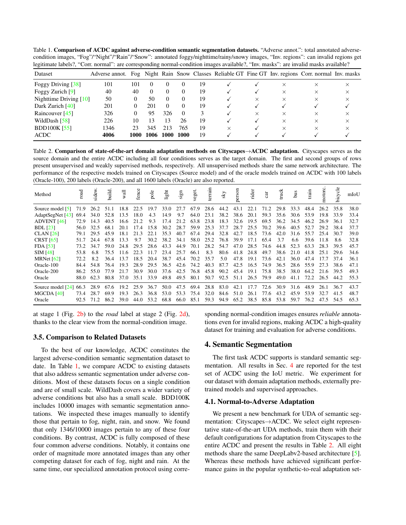Table 1. Comparison of ACDC against adverse-condition semantic segmentation datasets. "Adverse annot.": total annotated adversecondition images, "Fog"/"Night"/"Rain"/"Snow": annotated foggy/nighttime/rainy/snowy images, "Inv. regions": can invalid regions get legitimate labels?, "Corr. normal": are corresponding normal-condition images available?, "Inv. masks": are invalid masks available?

| Dataset                | Adverse annot. |      |          |          |          |    |          |          |          | Fog Night Rain Snow Classes Reliable GT Fine GT Inv. regions Corr. normal Inv. masks |          |
|------------------------|----------------|------|----------|----------|----------|----|----------|----------|----------|--------------------------------------------------------------------------------------|----------|
| Foggy Driving [38]     | 101            | 101  | $\theta$ | $\theta$ | $\theta$ | 19 |          |          | $\times$ | X                                                                                    | X        |
| Foggy Zurich [9]       | 40             | 40   | $\theta$ | $\theta$ | $\theta$ | 19 |          |          | $\times$ | X                                                                                    | X        |
| Nighttime Driving [10] | 50             |      | 50       | $\Omega$ | $\Omega$ | 19 |          | $\times$ | $\times$ | $\times$                                                                             | $\times$ |
| Dark Zurich [40]       | 201            |      | 201      | $\Omega$ | $\Omega$ | 19 |          |          |          |                                                                                      |          |
| Raincouver $[45]$      | 326            |      | 95       | 326      | $\Omega$ | 3  |          | $\times$ | $\times$ | $\times$                                                                             | X        |
| WildDash [58]          | 226            | 10   | 13       | 13       | 26       | 19 |          |          | $\times$ | X                                                                                    | X        |
| <b>BDD100K</b> [55]    | 1346           | 23.  | 345      | 213      | 765      | 19 | $\times$ |          | $\times$ | X                                                                                    | X        |
| <b>ACDC</b>            | 4006           | 1000 | 1006     | 1000     | 1000     | 19 |          |          |          |                                                                                      |          |

Table 2. Comparison of state-of-the-art domain adaptation methods on Cityscapes→ACDC adaptation. Cityscapes serves as the source domain and the entire ACDC including all four conditions serves as the target domain. The first and second groups of rows present unsupervised and weakly supervised methods, respectively. All unsupervised methods share the same network architecture. The performance of the respective models trained on Cityscapes (Source model) and of the oracle models trained on ACDC with 100 labels (Oracle-100), 200 labels (Oracle-200), and all 1600 labels (Oracle) are also reported.

| Method             | oad  | sidew. | build | wall | fenc | pole | ight | sign | veget. | terrain | ΥŠ   | person | rider | cat  | truck | bus  | train |      | bicycle | mIoU |
|--------------------|------|--------|-------|------|------|------|------|------|--------|---------|------|--------|-------|------|-------|------|-------|------|---------|------|
| Source model [5]   | 71.9 | 26.2   | 51.1  | 18.8 | 22.5 | 19.7 | 33.0 | 27.7 | 67.9   | 28.6    | 44.2 | 43.1   | 22.1  | 71.2 | 29.8  | 33.3 | 48.4  | 26.2 | 35.8    | 38.0 |
| AdaptSegNet [43]   | 69.4 | 34.0   | 52.8  | 13.5 | 18.0 | 4.3  | 14.9 | 9.7  | 64.0   | 23.1    | 38.2 | 38.6   | 20.1  | 59.3 | 35.6  | 30.6 | 53.9  | 19.8 | 33.9    | 33.4 |
| <b>ADVENT</b> [46] | 72.9 | 14.3   | 40.5  | 16.6 | 21.2 | 9.3  | 17.4 | 21.2 | 63.8   | 23.8    | 18.3 | 32.6   | 19.5  | 69.5 | 36.2  | 34.5 | 46.2  | 26.9 | 36.1    | 32.7 |
| <b>BDL</b> [23]    | 56.0 | 32.5   | 68.1  | 20.1 | 17.4 | 15.8 | 30.2 | 28.7 | 59.9   | 25.3    | 37.7 | 28.7   | 25.5  | 70.2 | 39.6  | 40.5 | 52.7  | 29.2 | 38.4    | 37.7 |
| CLAN [26]          | 79.1 | 29.5   | 45.9  | 18.1 | 21.3 | 22.1 | 35.3 | 40.7 | 67.4   | 29.4    | 32.8 | 42.7   | 18.5  | 73.6 | 42.0  | 31.6 | 55.7  | 25.4 | 30.7    | 39.0 |
| <b>CRST</b> [65]   | 51.7 | 24 A   | 67.8  | 13.3 | 9.7  | 30.2 | 38.2 | 34.1 | 58.0   | 25.2    | 76.8 | 39.9   | 17.1  | 65.4 | 3.7   | 6.6  | 39.6  | 11.8 | 8.6     | 32.8 |
| FDA [53]           | 73.2 | 34.7   | 59.O  | 24.8 | 29.5 | 28.6 | 43.3 | 44.9 | 70.1   | 28.2    | 54.7 | 47.0   | 28.5  | 74.6 | 44.8  | 52.3 | 63.3  | 28.3 | 39.5    | 45.7 |
| SIM [48]           | 53.8 | 6.8    | 75.5  | 11.6 | 22.3 | 11.7 | 23.4 | 25.7 | -66.1  | 8.3     | 80.6 | 41.8   | 24.8  | 49.7 | 38.6  | 21.0 | 41.8  | 25.1 | 29.6    | 34.6 |
| MRNet $[62]$       | 72.2 | 8.2    | 36.4  | 13.7 | 18.5 | 20.4 | 38.7 | 45.4 | 70.2   | 35.7    | 5.0  | 47.8   | 19.1  | 73.6 | 42.1  | 36.0 | 47.4  | 17.7 | 37.4    | 36.1 |
| Oracle-100         | 84.4 | 54.8   | 76.4  | 19.3 | 28.9 | 29.5 | 36.5 | 42.6 | 74.2   | 40.3    | 87.7 | 42.5   | 16.5  | 74.9 | 36.5  | 28.6 | 55.9  | 27.3 | 38.6    | 47.1 |
| Oracle-200         | 86.2 | 55.0   | 77.9  | 21.7 | 30.9 | 30.0 | 37.6 | 42.5 | 76.8   | 45.8    | 90.2 | 45.4   | 19.1  | 75.8 | 38.5  | 38.0 | 64.2  | 21.6 | 39.5    | 49.3 |
| Oracle             | 88.0 | 62.3   | 80.8  | 37.0 | 35.1 | 33.9 | 49.8 | 49.5 | 80.1   | 50.7    | 92.5 | 51.1   | 26.5  | 79.9 | 49.0  | 41.1 | 72.2  | 26.5 | 44.2    | 55.3 |
| Source model [24]  | 66.3 | 28.9   | 67.6  | 19.2 | 25.9 | 36.7 | 50.0 | 47.5 | 69.4   | 28.8    | 83.0 | 42.1   | 17.7  | 72.6 | 30.9  | 31.6 | 48.9  | 26.1 | 36.7    | 43.7 |
| MGCDA [40]         | 73.4 | 28.7   | 69.9  | 19.3 | 26.3 | 36.8 | 53.0 | 53.3 | 75.4   | 32.0    | 84.6 | 51.0   | 26.1  | 77.6 | 43.2  | 45.9 | 53.9  | 32.7 | 41.5    | 48.7 |
| Oracle             | 92.5 | 71.2   | 86.2  | 39.0 | 44.0 | 53.2 | 68.8 | 66.0 | 85.1   | 59.3    | 94.9 | 65.2   | 38.5  | 85.8 | 53.8  | 59.7 | 76.2  | 47.5 | 54.5    | 65.3 |

at stage 1 (Fig. 2b) to the *road* label at stage 2 (Fig. 2d), thanks to the clear view from the normal-condition image.

# 3.5. Comparison to Related Datasets

To the best of our knowledge, ACDC constitutes the largest adverse-condition semantic segmentation dataset to date. In Table 1, we compare ACDC to existing datasets that also address semantic segmentation under adverse conditions. Most of these datasets focus on a single condition and are of small scale. WildDash covers a wider variety of adverse conditions but also has a small scale. BDD100K includes 10000 images with semantic segmentation annotations. We inspected these images manually to identify those that pertain to fog, night, rain, and snow. We found that only 1346/10000 images pertain to any of these four conditions. By contrast, ACDC is fully composed of these four common adverse conditions. Notably, it contains one order of magnitude more annotated images than any other competing dataset for each of fog, night and rain. At the same time, our specialized annotation protocol using corresponding normal-condition images ensures *reliable* annotations even for invalid regions, making ACDC a high-quality dataset for training and evaluation for adverse conditions.

# 4. Semantic Segmentation

The first task ACDC supports is standard semantic segmentation. All results in Sec. 4 are reported for the test set of ACDC using the IoU metric. We experiment for our dataset with domain adaptation methods, externally pretrained models and supervised approaches.

#### 4.1. Normal-to-Adverse Adaptation

We present a new benchmark for UDA of semantic segmentation: Cityscapes→ACDC. We select eight representative state-of-the-art UDA methods, train them with their default configurations for adaptation from Cityscapes to the entire ACDC and present the results in Table 2. All eight methods share the same DeepLabv2-based architecture [5]. Whereas these methods have achieved significant performance gains in the popular synthetic-to-real adaptation set-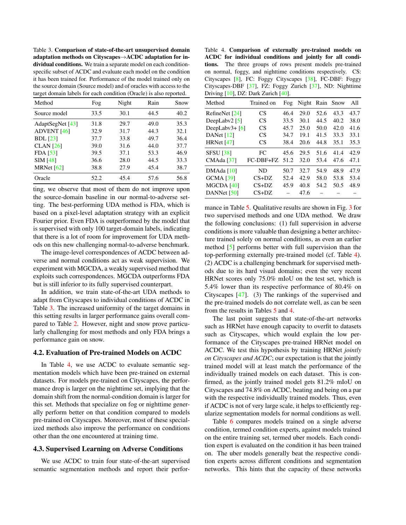Table 3. Comparison of state-of-the-art unsupervised domain adaptation methods on Cityscapes→ACDC adaptation for individual conditions. We train a separate model on each conditionspecific subset of ACDC and evaluate each model on the condition it has been trained for. Performance of the model trained only on the source domain (Source model) and of oracles with access to the target domain labels for each condition (Oracle) is also reported.

| Method             | Fog  | Night | Rain | Snow |
|--------------------|------|-------|------|------|
| Source model       | 33.5 | 30.1  | 44.5 | 40.2 |
| AdaptSegNet $[43]$ | 31.8 | 29.7  | 49.0 | 35.3 |
| <b>ADVENT</b> [46] | 32.9 | 31.7  | 44.3 | 32.1 |
| <b>BDL</b> [23]    | 37.7 | 33.8  | 49.7 | 36.4 |
| CLAN [26]          | 39.0 | 31.6  | 44.0 | 37.7 |
| $FDA$ [53]         | 39.5 | 37.1  | 53.3 | 46.9 |
| <b>SIM [48]</b>    | 36.6 | 28.0  | 44.5 | 33.3 |
| MRNet $[62]$       | 38.8 | 27.9  | 45.4 | 38.7 |
| Oracle             | 52.2 | 45.4  | 57.6 | 56.8 |

ting, we observe that most of them do not improve upon the source-domain baseline in our normal-to-adverse setting. The best-performing UDA method is FDA, which is based on a pixel-level adaptation strategy with an explicit Fourier prior. Even FDA is outperformed by the model that is supervised with only 100 target-domain labels, indicating that there is a lot of room for improvement for UDA methods on this new challenging normal-to-adverse benchmark.

The image-level correspondences of ACDC between adverse and normal conditions act as weak supervision. We experiment with MGCDA, a weakly supervised method that exploits such correspondences. MGCDA outperforms FDA but is still inferior to its fully supervised counterpart.

In addition, we train state-of-the-art UDA methods to adapt from Cityscapes to individual conditions of ACDC in Table 3. The increased uniformity of the target domains in this setting results in larger performance gains overall compared to Table 2. However, night and snow prove particularly challenging for most methods and only FDA brings a performance gain on snow.

#### 4.2. Evaluation of Pre-trained Models on ACDC

In Table 4, we use ACDC to evaluate semantic segmentation models which have been pre-trained on external datasets. For models pre-trained on Cityscapes, the performance drop is larger on the nighttime set, implying that the domain shift from the normal-condition domain is larger for this set. Methods that specialize on fog or nighttime generally perform better on that condition compared to models pre-trained on Cityscapes. Moreover, most of these specialized methods also improve the performance on conditions other than the one encountered at training time.

#### 4.3. Supervised Learning on Adverse Conditions

We use ACDC to train four state-of-the-art supervised semantic segmentation methods and report their perfor-

Table 4. Comparison of externally pre-trained models on ACDC for individual conditions and jointly for all conditions. The three groups of rows present models pre-trained on normal, foggy, and nighttime conditions respectively. CS: Cityscapes [8], FC: Foggy Cityscapes [38], FC-DBF: Foggy Cityscapes-DBF [37], FZ: Foggy Zurich [37], ND: Nighttime Driving [10], DZ: Dark Zurich [40].

| Method            | Trained on | Fog  | Night | Rain | Snow | All  |
|-------------------|------------|------|-------|------|------|------|
| RefineNet [24]    | CS         | 46.4 | 29.0  | 52.6 | 43.3 | 43.7 |
| DeepLaby2 $[5]$   | CS         | 33.5 | 30.1  | 44.5 | 40.2 | 38.0 |
| DeepLabv $3+$ [6] | CS         | 45.7 | 25.0  | 50.0 | 42.0 | 41.6 |
| DANet $[12]$      | CS         | 34.7 | 19.1  | 41.5 | 33.3 | 33.1 |
| HRNet $[47]$      | CS         | 38.4 | 20.6  | 44.8 | 35.1 | 35.3 |
| <b>SFSU [38]</b>  | FC         | 45.6 | 29.5  | 51.6 | 41.4 | 42.9 |
| CMAda [37]        | FC-DBF+FZ  | 51.2 | 32.0  | 53.4 | 47.6 | 47.1 |
| DMAda [10]        | ND         | 50.7 | 32.7  | 54.9 | 48.9 | 47.9 |
| <b>GCMA [39]</b>  | $CS+DZ$    | 52.4 | 42.9  | 58.0 | 53.8 | 53.4 |
| MGCDA [40]        | $CS+DZ$    | 45.9 | 40.8  | 54.2 | 50.5 | 48.9 |
| DANNet $[50]$     | $CS+DZ$    |      | 47.6  |      |      |      |

mance in Table 5. Qualitative results are shown in Fig. 3 for two supervised methods and one UDA method. We draw the following conclusions: (1) full supervision in adverse conditions is more valuable than designing a better architecture trained solely on normal conditions, as even an earlier method [5] performs better with full supervision than the top-performing externally pre-trained model (cf. Table 4). (2) ACDC is a challenging benchmark for supervised methods due to its hard visual domains; even the very recent HRNet scores only 75.0% mIoU on the test set, which is 5.4% lower than its respective performance of 80.4% on Cityscapes [47]. (3) The rankings of the supervised and the pre-trained models do not correlate well, as can be seen from the results in Tables 5 and 4.

The last point suggests that state-of-the-art networks such as HRNet have enough capacity to overfit to datasets such as Cityscapes, which would explain the low performance of the Cityscapes pre-trained HRNet model on ACDC. We test this hypothesis by training HRNet *jointly on Cityscapes and ACDC*; our expectation is that the jointly trained model will at least match the performance of the individually trained models on each dataset. This is confirmed, as the jointly trained model gets 81.2% mIoU on Cityscapes and 74.8% on ACDC, beating and being on a par with the respective individually trained models. Thus, even if ACDC is not of very large scale, it helps to efficiently regularize segmentation models for normal conditions as well.

Table 6 compares models trained on a single adverse condition, termed condition experts, against models trained on the entire training set, termed uber models. Each condition expert is evaluated on the condition it has been trained on. The uber models generally beat the respective condition experts across different conditions and segmentation networks. This hints that the capacity of these networks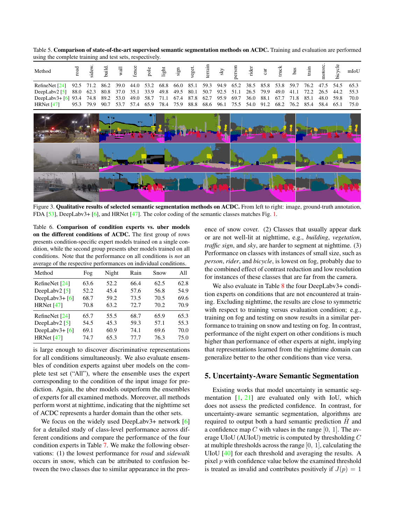Table 5. Comparison of state-of-the-art supervised semantic segmentation methods on ACDC. Training and evaluation are performed using the complete training and test sets, respectively.

| Method            | $_{\rm road}$ | sidew. | build. | wall | fence | pole | light | sign | veget. | terrain | $\ensuremath{\mathrm{S}\mathrm{N}}$ | person | rider | cat  | truck | bus  | train | notoro | bicycle | mIoU |
|-------------------|---------------|--------|--------|------|-------|------|-------|------|--------|---------|-------------------------------------|--------|-------|------|-------|------|-------|--------|---------|------|
| RefineNet [24]    | 92.5          | 71.2   | 86.2   | 39.0 | 44.0  | 53.2 | 68.8  | 66.0 | 85.1   | 59.3    | 94.9                                | 65.2   | 38.5  | 85.8 | 53.8  | 59.7 | 76.2  | 47.5   | 54.5    | 65.3 |
| DeepLabv2 $[5]$   | 88.0          | 62.3   | 80.8   | 37.0 | 35.1  | 33.9 | 49.8  | 49.5 | 80.1   | 50.7    | 92.5                                | 51.1   | 26.5  | 79.9 | 49.0  | 41.1 | 72.2  | 26.5   | 44.2    | 55.3 |
| DeepLabv $3+$ [6] | 93.4          | 74.8   | 89.2   | 53.0 | 49.0  | 58.7 | 71.1  | 67.4 | 87.8   | 62.7    | 95.9                                | 69.7   | 36.0  | 88.1 | 67.7  | 71.8 | 85.1  | 48.0   | 59.8    | 70.0 |
| HRNet $[47]$      | 95.3          | 79.9   | 90.7   | 53.7 | 57.4  | 65.9 | 78.4  | 75.9 | 88.8   | 68.6    | 96.1                                | 75.5   | 54.0  | 91.2 | 68.2  | 76.2 | 85.4  | 58.4   | 65.1    | 75.0 |
|                   |               |        |        |      |       |      |       |      |        |         |                                     |        |       |      |       |      |       |        |         |      |
|                   |               |        |        |      |       |      |       |      |        |         |                                     |        |       |      |       |      |       |        |         |      |
|                   |               |        |        |      |       |      |       |      |        |         |                                     |        |       |      |       |      |       |        |         |      |
|                   |               |        |        |      |       |      |       |      |        |         |                                     |        |       |      |       |      |       |        |         |      |

Figure 3. Qualitative results of selected semantic segmentation methods on ACDC. From left to right: image, ground-truth annotation, FDA [53], DeepLabv3+ [6], and HRNet [47]. The color coding of the semantic classes matches Fig. 1.

Table 6. Comparison of condition experts vs. uber models on the different conditions of ACDC. The first group of rows presents condition-specific expert models trained on a single condition, while the second group presents uber models trained on all conditions. Note that the performance on all conditions is *not* an average of the respective performances on individual conditions.

| Method             | Fog  | Night | Rain | Snow | All  |
|--------------------|------|-------|------|------|------|
| RefineNet [24]     | 63.6 | 52.2  | 66.4 | 62.5 | 62.8 |
| DeepLaby2 $[5]$    | 52.2 | 45.4  | 57.6 | 56.8 | 54.9 |
| DeepLabv $3 + [6]$ | 68.7 | 59.2  | 73.5 | 70.5 | 69.6 |
| HRNet $[47]$       | 70.8 | 63.2  | 72.7 | 70.2 | 70.9 |
| RefineNet [24]     | 65.7 | 55.5  | 68.7 | 65.9 | 65.3 |
| DeepLaby2 $[5]$    | 54.5 | 45.3  | 59.3 | 57.1 | 55.3 |
| DeepLabv $3 + [6]$ | 69.1 | 60.9  | 74.1 | 69.6 | 70.0 |
| HRNet $[47]$       | 74.7 | 65.3  | 77.7 | 76.3 | 75.0 |

is large enough to discover discriminative representations for all conditions simultaneously. We also evaluate ensembles of condition experts against uber models on the complete test set ("All"), where the ensemble uses the expert corresponding to the condition of the input image for prediction. Again, the uber models outperform the ensembles of experts for all examined methods. Moreover, all methods perform worst at nighttime, indicating that the nighttime set of ACDC represents a harder domain than the other sets.

We focus on the widely used DeepLabv3+ network [6] for a detailed study of class-level performance across different conditions and compare the performance of the four condition experts in Table 7. We make the following observations: (1) the lowest performance for *road* and *sidewalk* occurs in snow, which can be attributed to confusion between the two classes due to similar appearance in the presence of snow cover. (2) Classes that usually appear dark or are not well-lit at nighttime, e.g., *building*, *vegetation*, *traffic sign*, and *sky*, are harder to segment at nighttime. (3) Performance on classes with instances of small size, such as *person*, *rider*, and *bicycle*, is lowest on fog, probably due to the combined effect of contrast reduction and low resolution for instances of these classes that are far from the camera.

We also evaluate in Table 8 the four DeepLabv3+ condition experts on conditions that are not encountered at training. Excluding nighttime, the results are close to symmetric with respect to training versus evaluation condition; e.g., training on fog and testing on snow results in a similar performance to training on snow and testing on fog. In contrast, performance of the night expert on other conditions is much higher than performance of other experts at night, implying that representations learned from the nighttime domain can generalize better to the other conditions than vice versa.

# 5. Uncertainty-Aware Semantic Segmentation

Existing works that model uncertainty in semantic segmentation  $\begin{bmatrix} 1 \\ 21 \end{bmatrix}$  are evaluated only with IoU, which does not assess the predicted confidence. In contrast, for uncertainty-aware semantic segmentation, algorithms are required to output both a hard semantic prediction  $H$  and a confidence map  $C$  with values in the range [0, 1]. The average UIoU (AUIoU) metric is computed by thresholding C at multiple thresholds across the range [0, 1], calculating the UIoU [40] for each threshold and averaging the results. A pixel p with confidence value below the examined threshold is treated as invalid and contributes positively if  $J(p) = 1$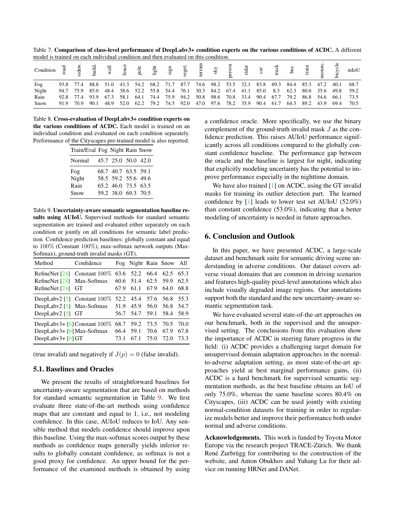Table 7. Comparison of class-level performance of DeepLabv3+ condition experts on the various conditions of ACDC. A different model is trained on each individual condition and then evaluated on this condition.

| Fog   |  |  |  |  |  |  |  |  |  | 93.8 77.4 88.8 51.0 43.3 54.2 68.2 71.7 87.7 74.6 98.2 53.5 32.1 83.8 69.3 84.4 85.3 47.2 40.1 68.7 |
|-------|--|--|--|--|--|--|--|--|--|-----------------------------------------------------------------------------------------------------|
| Night |  |  |  |  |  |  |  |  |  | 94.7 75.9 85.0 48.4 38.6 52.2 55.8 54.4 76.1 30.3 84.2 67.4 41.1 85.0 8.3 62.3 80.6 35.6 49.8 59.2  |
| Rain  |  |  |  |  |  |  |  |  |  | 92.8 77.4 93.9 67.3 58.1 64.1 74.4 75.9 94.2 50.8 98.6 70.8 33.4 90.4 67.7 79.2 86.8 54.6 66.1 73.5 |
| Snow  |  |  |  |  |  |  |  |  |  | 91.9 70.9 90.1 48.9 52.0 62.2 79.2 74.5 92.0 47.0 97.6 78.2 35.9 90.4 61.7 64.3 89.2 43.9 69.4 70.5 |

Table 8. Cross-evaluation of DeepLabv3+ condition experts on the various conditions of ACDC. Each model is trained on an individual condition and evaluated on each condition separately. Performance of the Cityscapes pre-trained model is also reported.

| Train/Eval Fog Night Rain Snow |                     |  |
|--------------------------------|---------------------|--|
| Normal 45.7 25.0 50.0 42.0     |                     |  |
| Fog                            | 68.7 40.7 63.5 59.1 |  |
| Night                          | 58.5 59.2 55.6 49.6 |  |
| Rain                           | 65.2 46.0 73.5 63.5 |  |
| Snow                           | 59.2 38.0 69.3 70.5 |  |

Table 9. Uncertainty-aware semantic segmentation baseline results using AUIoU. Supervised methods for standard semantic segmentation are trained and evaluated either separately on each condition or jointly on all conditions for semantic label prediction. Confidence prediction baselines: globally constant and equal to 100% (Constant 100%), max-softmax network outputs (Max-Softmax), ground-truth invalid masks (GT).

| Method              | Confidence                                                                                         |      | Fog Night Rain Snow All |      |                        |              |
|---------------------|----------------------------------------------------------------------------------------------------|------|-------------------------|------|------------------------|--------------|
| RefineNet $[24]$    | RefineNet [24] Constant 100\% 63.6 52.2 66.4<br>Max-Softmax 60.6 51.4 62.5 59.9                    |      |                         |      | 62.5                   | 65.3<br>62.5 |
| RefineNet [24] GT   |                                                                                                    | 67.9 | 61.1                    | 67.9 | 64.0                   | 68.8         |
| DeepLaby2 $[5]$ GT  | DeepLabv2 [5] Constant $100\%$ 52.2 45.4 57.6<br>DeepLabv2 $\lceil 5 \rceil$ Max-Softmax 51.9 45.9 |      | 56.7 54.7 59.1 58.4     | 56.0 | 56.8 55.3<br>56.8 54.7 | 58.9         |
| DeepLabv $3 + 6$ GT | DeepLabv3+ [6] Constant 100\% 68.7 59.2 73.5 70.5 70.0<br>DeepLabv3+ $[6]$ Max-Softmax 66.4 59.1   | 73.1 |                         | 70.6 | 67.9<br>67.1 75.0 72.0 | 67.8<br>73.3 |

(true invalid) and negatively if  $J(p) = 0$  (false invalid).

# 5.1. Baselines and Oracles

We present the results of straightforward baselines for uncertainty-aware segmentation that are based on methods for standard semantic segmentation in Table 9. We first evaluate three state-of-the-art methods using confidence maps that are constant and equal to 1, i.e., not modeling confidence. In this case, AUIoU reduces to IoU. Any sensible method that models confidence should improve upon this baseline. Using the max-softmax scores output by these methods as confidence maps generally yields inferior results to globally constant confidence, as softmax is not a good proxy for confidence. An upper bound for the performance of the examined methods is obtained by using

a confidence oracle. More specifically, we use the binary complement of the ground-truth invalid mask J as the confidence prediction. This raises AUIoU performance significantly across all conditions compared to the globally constant confidence baseline. The performance gap between the oracle and the baseline is largest for night, indicating that explicitly modeling uncertainty has the potential to improve performance especially in the nighttime domain.

We have also trained [1] on ACDC, using the GT invalid masks for training its outlier detection part. The learned confidence by [1] leads to lower test set AUIoU (52.0%) than constant confidence (53.0%), indicating that a better modeling of uncertainty is needed in future approaches.

# 6. Conclusion and Outlook

In this paper, we have presented ACDC, a large-scale dataset and benchmark suite for semantic driving scene understanding in adverse conditions. Our dataset covers adverse visual domains that are common in driving scenarios and features high-quality pixel-level annotations which also include visually degraded image regions. Our annotations support both the standard and the new uncertainty-aware semantic segmentation task.

We have evaluated several state-of-the-art approaches on our benchmark, both in the supervised and the unsupervised setting. The conclusions from this evaluation show the importance of ACDC in steering future progress in the field: (i) ACDC provides a challenging target domain for unsupervised domain adaptation approaches in the normalto-adverse adaptation setting, as most state-of-the-art approaches yield at best marginal performance gains, (ii) ACDC is a hard benchmark for supervised semantic segmentation methods, as the best baseline obtains an IoU of only 75.0%, whereas the same baseline scores 80.4% on Cityscapes, (iii) ACDC can be used jointly with existing normal-condition datasets for training in order to regularize models better and improve their performance both under normal and adverse conditions.

Acknowledgements. This work is funded by Toyota Motor Europe via the research project TRACE-Zürich. We thank René Zurbrügg for contributing to the construction of the website, and Anton Obukhov and Yuhang Lu for their advice on running HRNet and DANet.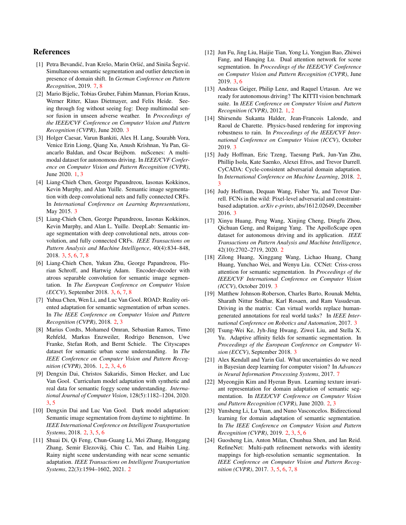# References

- [1] Petra Bevandić, Ivan Krešo, Marin Oršić, and Siniša Šegvić. Simultaneous semantic segmentation and outlier detection in presence of domain shift. In *German Conference on Pattern Recognition*, 2019. 7, 8
- [2] Mario Bijelic, Tobias Gruber, Fahim Mannan, Florian Kraus, Werner Ritter, Klaus Dietmayer, and Felix Heide. Seeing through fog without seeing fog: Deep multimodal sensor fusion in unseen adverse weather. In *Proceedings of the IEEE/CVF Conference on Computer Vision and Pattern Recognition (CVPR)*, June 2020. 3
- [3] Holger Caesar, Varun Bankiti, Alex H. Lang, Sourabh Vora, Venice Erin Liong, Qiang Xu, Anush Krishnan, Yu Pan, Giancarlo Baldan, and Oscar Beijbom. nuScenes: A multimodal dataset for autonomous driving. In *IEEE/CVF Conference on Computer Vision and Pattern Recognition (CVPR)*, June 2020. 1, 3
- [4] Liang-Chieh Chen, George Papandreou, Iasonas Kokkinos, Kevin Murphy, and Alan Yuille. Semantic image segmentation with deep convolutional nets and fully connected CRFs. In *International Conference on Learning Representations*, May 2015. 3
- [5] Liang-Chieh Chen, George Papandreou, Iasonas Kokkinos, Kevin Murphy, and Alan L. Yuille. DeepLab: Semantic image segmentation with deep convolutional nets, atrous convolution, and fully connected CRFs. *IEEE Transactions on Pattern Analysis and Machine Intelligence*, 40(4):834–848, 2018. 3, 5, 6, 7, 8
- [6] Liang-Chieh Chen, Yukun Zhu, George Papandreou, Florian Schroff, and Hartwig Adam. Encoder-decoder with atrous separable convolution for semantic image segmentation. In *The European Conference on Computer Vision (ECCV)*, September 2018. 3, 6, 7, 8
- [7] Yuhua Chen, Wen Li, and Luc Van Gool. ROAD: Reality oriented adaptation for semantic segmentation of urban scenes. In *The IEEE Conference on Computer Vision and Pattern Recognition (CVPR)*, 2018. 2, 3
- [8] Marius Cordts, Mohamed Omran, Sebastian Ramos, Timo Rehfeld, Markus Enzweiler, Rodrigo Benenson, Uwe Franke, Stefan Roth, and Bernt Schiele. The Cityscapes dataset for semantic urban scene understanding. In *The IEEE Conference on Computer Vision and Pattern Recognition (CVPR)*, 2016. 1, 2, 3, 4, 6
- [9] Dengxin Dai, Christos Sakaridis, Simon Hecker, and Luc Van Gool. Curriculum model adaptation with synthetic and real data for semantic foggy scene understanding. *International Journal of Computer Vision*, 128(5):1182–1204, 2020. 3, 5
- [10] Dengxin Dai and Luc Van Gool. Dark model adaptation: Semantic image segmentation from daytime to nighttime. In *IEEE International Conference on Intelligent Transportation Systems*, 2018. 2, 3, 5, 6
- [11] Shuai Di, Qi Feng, Chun-Guang Li, Mei Zhang, Honggang Zhang, Semir Elezovikj, Chiu C. Tan, and Haibin Ling. Rainy night scene understanding with near scene semantic adaptation. *IEEE Transactions on Intelligent Transportation Systems*, 22(3):1594–1602, 2021. 2
- [12] Jun Fu, Jing Liu, Haijie Tian, Yong Li, Yongjun Bao, Zhiwei Fang, and Hanqing Lu. Dual attention network for scene segmentation. In *Proceedings of the IEEE/CVF Conference on Computer Vision and Pattern Recognition (CVPR)*, June 2019. 3, 6
- [13] Andreas Geiger, Philip Lenz, and Raquel Urtasun. Are we ready for autonomous driving? The KITTI vision benchmark suite. In *IEEE Conference on Computer Vision and Pattern Recognition (CVPR)*, 2012. 1, 2
- [14] Shirsendu Sukanta Halder, Jean-Francois Lalonde, and Raoul de Charette. Physics-based rendering for improving robustness to rain. In *Proceedings of the IEEE/CVF International Conference on Computer Vision (ICCV)*, October 2019. 3
- [15] Judy Hoffman, Eric Tzeng, Taesung Park, Jun-Yan Zhu, Phillip Isola, Kate Saenko, Alexei Efros, and Trevor Darrell. CyCADA: Cycle-consistent adversarial domain adaptation. In *International Conference on Machine Learning*, 2018. 2, 3
- [16] Judy Hoffman, Dequan Wang, Fisher Yu, and Trevor Darrell. FCNs in the wild: Pixel-level adversarial and constraintbased adaptation. *arXiv e-prints*, abs/1612.02649, December 2016. 3
- [17] Xinyu Huang, Peng Wang, Xinjing Cheng, Dingfu Zhou, Qichuan Geng, and Ruigang Yang. The ApolloScape open dataset for autonomous driving and its application. *IEEE Transactions on Pattern Analysis and Machine Intelligence*, 42(10):2702–2719, 2020. 2
- [18] Zilong Huang, Xinggang Wang, Lichao Huang, Chang Huang, Yunchao Wei, and Wenyu Liu. CCNet: Criss-cross attention for semantic segmentation. In *Proceedings of the IEEE/CVF International Conference on Computer Vision (ICCV)*, October 2019. 3
- [19] Matthew Johnson-Roberson, Charles Barto, Rounak Mehta, Sharath Nittur Sridhar, Karl Rosaen, and Ram Vasudevan. Driving in the matrix: Can virtual worlds replace humangenerated annotations for real world tasks? In *IEEE International Conference on Robotics and Automation*, 2017. 3
- [20] Tsung-Wei Ke, Jyh-Jing Hwang, Ziwei Liu, and Stella X. Yu. Adaptive affinity fields for semantic segmentation. In *Proceedings of the European Conference on Computer Vision (ECCV)*, September 2018. 3
- [21] Alex Kendall and Yarin Gal. What uncertainties do we need in Bayesian deep learning for computer vision? In *Advances in Neural Information Processing Systems*, 2017. 7
- [22] Myeongjin Kim and Hyeran Byun. Learning texture invariant representation for domain adaptation of semantic segmentation. In *IEEE/CVF Conference on Computer Vision and Pattern Recognition (CVPR)*, June 2020. 2, 3
- [23] Yunsheng Li, Lu Yuan, and Nuno Vasconcelos. Bidirectional learning for domain adaptation of semantic segmentation. In *The IEEE Conference on Computer Vision and Pattern Recognition (CVPR)*, 2019. 2, 3, 5, 6
- [24] Guosheng Lin, Anton Milan, Chunhua Shen, and Ian Reid. RefineNet: Multi-path refinement networks with identity mappings for high-resolution semantic segmentation. In *IEEE Conference on Computer Vision and Pattern Recognition (CVPR)*, 2017. 3, 5, 6, 7, 8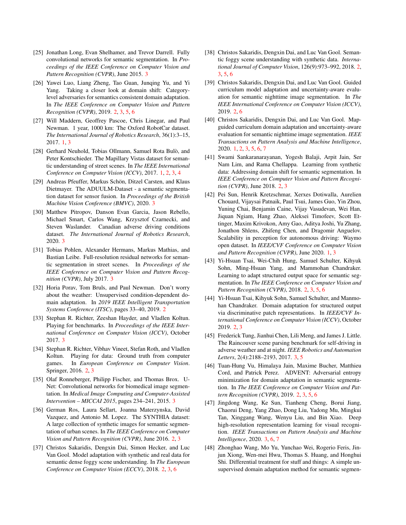- [25] Jonathan Long, Evan Shelhamer, and Trevor Darrell. Fully convolutional networks for semantic segmentation. In *Proceedings of the IEEE Conference on Computer Vision and Pattern Recognition (CVPR)*, June 2015. 3
- [26] Yawei Luo, Liang Zheng, Tao Guan, Junqing Yu, and Yi Yang. Taking a closer look at domain shift: Categorylevel adversaries for semantics consistent domain adaptation. In *The IEEE Conference on Computer Vision and Pattern Recognition (CVPR)*, 2019. 2, 3, 5, 6
- [27] Will Maddern, Geoffrey Pascoe, Chris Linegar, and Paul Newman. 1 year, 1000 km: The Oxford RobotCar dataset. *The International Journal of Robotics Research*, 36(1):3–15, 2017. 1, 3
- [28] Gerhard Neuhold, Tobias Ollmann, Samuel Rota Bulò, and Peter Kontschieder. The Mapillary Vistas dataset for semantic understanding of street scenes. In *The IEEE International Conference on Computer Vision (ICCV)*, 2017. 1, 2, 3, 4
- [29] Andreas Pfeuffer, Markus Schön, Ditzel Carsten, and Klaus Dietmayer. The ADUULM-Dataset - a semantic segmentation dataset for sensor fusion. In *Proceedings of the British Machine Vision Conference (BMVC)*, 2020. 3
- [30] Matthew Pitropov, Danson Evan Garcia, Jason Rebello, Michael Smart, Carlos Wang, Krzysztof Czarnecki, and Steven Waslander. Canadian adverse driving conditions dataset. *The International Journal of Robotics Research*, 2020. 3
- [31] Tobias Pohlen, Alexander Hermans, Markus Mathias, and Bastian Leibe. Full-resolution residual networks for semantic segmentation in street scenes. In *Proceedings of the IEEE Conference on Computer Vision and Pattern Recognition (CVPR)*, July 2017. 3
- [32] Horia Porav, Tom Bruls, and Paul Newman. Don't worry about the weather: Unsupervised condition-dependent domain adaptation. In *2019 IEEE Intelligent Transportation Systems Conference (ITSC)*, pages 33–40, 2019. 2
- [33] Stephan R. Richter, Zeeshan Hayder, and Vladlen Koltun. Playing for benchmarks. In *Proceedings of the IEEE International Conference on Computer Vision (ICCV)*, October 2017. 3
- [34] Stephan R. Richter, Vibhav Vineet, Stefan Roth, and Vladlen Koltun. Playing for data: Ground truth from computer games. In *European Conference on Computer Vision*. Springer, 2016. 2, 3
- [35] Olaf Ronneberger, Philipp Fischer, and Thomas Brox. U-Net: Convolutional networks for biomedical image segmentation. In *Medical Image Computing and Computer-Assisted Intervention – MICCAI 2015*, pages 234–241, 2015. 3
- [36] German Ros, Laura Sellart, Joanna Materzynska, David Vazquez, and Antonio M. Lopez. The SYNTHIA dataset: A large collection of synthetic images for semantic segmentation of urban scenes. In *The IEEE Conference on Computer Vision and Pattern Recognition (CVPR)*, June 2016. 2, 3
- [37] Christos Sakaridis, Dengxin Dai, Simon Hecker, and Luc Van Gool. Model adaptation with synthetic and real data for semantic dense foggy scene understanding. In *The European Conference on Computer Vision (ECCV)*, 2018. 2, 3, 6
- [38] Christos Sakaridis, Dengxin Dai, and Luc Van Gool. Semantic foggy scene understanding with synthetic data. *International Journal of Computer Vision*, 126(9):973–992, 2018. 2, 3, 5, 6
- [39] Christos Sakaridis, Dengxin Dai, and Luc Van Gool. Guided curriculum model adaptation and uncertainty-aware evaluation for semantic nighttime image segmentation. In *The IEEE International Conference on Computer Vision (ICCV)*, 2019. 2, 6
- [40] Christos Sakaridis, Dengxin Dai, and Luc Van Gool. Mapguided curriculum domain adaptation and uncertainty-aware evaluation for semantic nighttime image segmentation. *IEEE Transactions on Pattern Analysis and Machine Intelligence*, 2020. 1, 2, 3, 5, 6, 7
- [41] Swami Sankaranarayanan, Yogesh Balaji, Arpit Jain, Ser Nam Lim, and Rama Chellappa. Learning from synthetic data: Addressing domain shift for semantic segmentation. In *IEEE Conference on Computer Vision and Pattern Recognition (CVPR)*, June 2018. 2, 3
- [42] Pei Sun, Henrik Kretzschmar, Xerxes Dotiwalla, Aurelien Chouard, Vijaysai Patnaik, Paul Tsui, James Guo, Yin Zhou, Yuning Chai, Benjamin Caine, Vijay Vasudevan, Wei Han, Jiquan Ngiam, Hang Zhao, Aleksei Timofeev, Scott Ettinger, Maxim Krivokon, Amy Gao, Aditya Joshi, Yu Zhang, Jonathon Shlens, Zhifeng Chen, and Dragomir Anguelov. Scalability in perception for autonomous driving: Waymo open dataset. In *IEEE/CVF Conference on Computer Vision and Pattern Recognition (CVPR)*, June 2020. 1, 3
- [43] Yi-Hsuan Tsai, Wei-Chih Hung, Samuel Schulter, Kihyuk Sohn, Ming-Hsuan Yang, and Mammohan Chandraker. Learning to adapt structured output space for semantic segmentation. In *The IEEE Conference on Computer Vision and Pattern Recognition (CVPR)*, 2018. 2, 3, 5, 6
- [44] Yi-Hsuan Tsai, Kihyuk Sohn, Samuel Schulter, and Manmohan Chandraker. Domain adaptation for structured output via discriminative patch representations. In *IEEE/CVF International Conference on Computer Vision (ICCV)*, October 2019. 2, 3
- [45] Frederick Tung, Jianhui Chen, Lili Meng, and James J. Little. The Raincouver scene parsing benchmark for self-driving in adverse weather and at night. *IEEE Robotics and Automation Letters*, 2(4):2188–2193, 2017. 3, 5
- [46] Tuan-Hung Vu, Himalaya Jain, Maxime Bucher, Matthieu Cord, and Patrick Perez. ADVENT: Adversarial entropy minimization for domain adaptation in semantic segmentation. In *The IEEE Conference on Computer Vision and Pattern Recognition (CVPR)*, 2019. 2, 3, 5, 6
- [47] Jingdong Wang, Ke Sun, Tianheng Cheng, Borui Jiang, Chaorui Deng, Yang Zhao, Dong Liu, Yadong Mu, Mingkui Tan, Xinggang Wang, Wenyu Liu, and Bin Xiao. Deep high-resolution representation learning for visual recognition. *IEEE Transactions on Pattern Analysis and Machine Intelligence*, 2020. 3, 6, 7
- [48] Zhonghao Wang, Mo Yu, Yunchao Wei, Rogerio Feris, Jinjun Xiong, Wen-mei Hwu, Thomas S. Huang, and Honghui Shi. Differential treatment for stuff and things: A simple unsupervised domain adaptation method for semantic segmen-